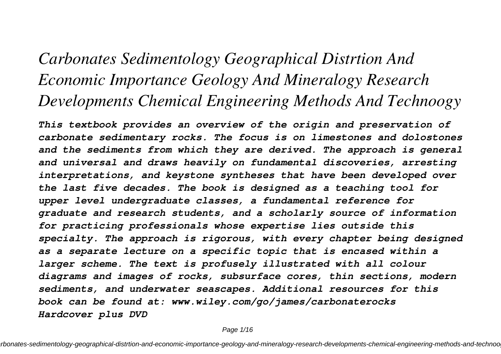# *Carbonates Sedimentology Geographical Distrtion And Economic Importance Geology And Mineralogy Research Developments Chemical Engineering Methods And Technoogy*

*This textbook provides an overview of the origin and preservation of carbonate sedimentary rocks. The focus is on limestones and dolostones and the sediments from which they are derived. The approach is general and universal and draws heavily on fundamental discoveries, arresting interpretations, and keystone syntheses that have been developed over the last five decades. The book is designed as a teaching tool for upper level undergraduate classes, a fundamental reference for graduate and research students, and a scholarly source of information for practicing professionals whose expertise lies outside this specialty. The approach is rigorous, with every chapter being designed as a separate lecture on a specific topic that is encased within a larger scheme. The text is profusely illustrated with all colour diagrams and images of rocks, subsurface cores, thin sections, modern sediments, and underwater seascapes. Additional resources for this book can be found at: www.wiley.com/go/james/carbonaterocks Hardcover plus DVD*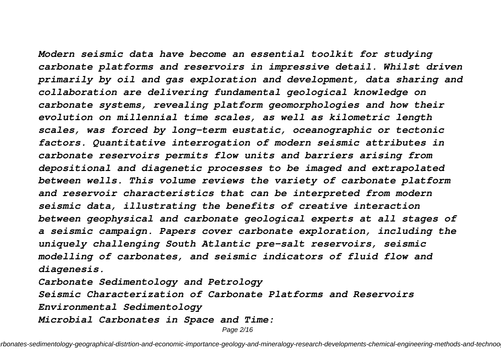*Modern seismic data have become an essential toolkit for studying carbonate platforms and reservoirs in impressive detail. Whilst driven primarily by oil and gas exploration and development, data sharing and collaboration are delivering fundamental geological knowledge on carbonate systems, revealing platform geomorphologies and how their evolution on millennial time scales, as well as kilometric length scales, was forced by long-term eustatic, oceanographic or tectonic factors. Quantitative interrogation of modern seismic attributes in carbonate reservoirs permits flow units and barriers arising from depositional and diagenetic processes to be imaged and extrapolated between wells. This volume reviews the variety of carbonate platform and reservoir characteristics that can be interpreted from modern seismic data, illustrating the benefits of creative interaction between geophysical and carbonate geological experts at all stages of a seismic campaign. Papers cover carbonate exploration, including the uniquely challenging South Atlantic pre-salt reservoirs, seismic modelling of carbonates, and seismic indicators of fluid flow and diagenesis.*

*Carbonate Sedimentology and Petrology*

*Seismic Characterization of Carbonate Platforms and Reservoirs*

*Environmental Sedimentology*

*Microbial Carbonates in Space and Time:*

Page 2/16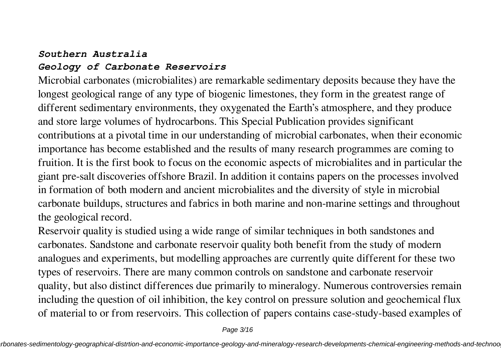### *Southern Australia*

### *Geology of Carbonate Reservoirs*

Microbial carbonates (microbialites) are remarkable sedimentary deposits because they have the longest geological range of any type of biogenic limestones, they form in the greatest range of different sedimentary environments, they oxygenated the Earth's atmosphere, and they produce and store large volumes of hydrocarbons. This Special Publication provides significant contributions at a pivotal time in our understanding of microbial carbonates, when their economic importance has become established and the results of many research programmes are coming to fruition. It is the first book to focus on the economic aspects of microbialites and in particular the giant pre-salt discoveries offshore Brazil. In addition it contains papers on the processes involved in formation of both modern and ancient microbialites and the diversity of style in microbial carbonate buildups, structures and fabrics in both marine and non-marine settings and throughout the geological record.

Reservoir quality is studied using a wide range of similar techniques in both sandstones and carbonates. Sandstone and carbonate reservoir quality both benefit from the study of modern analogues and experiments, but modelling approaches are currently quite different for these two types of reservoirs. There are many common controls on sandstone and carbonate reservoir quality, but also distinct differences due primarily to mineralogy. Numerous controversies remain including the question of oil inhibition, the key control on pressure solution and geochemical flux of material to or from reservoirs. This collection of papers contains case-study-based examples of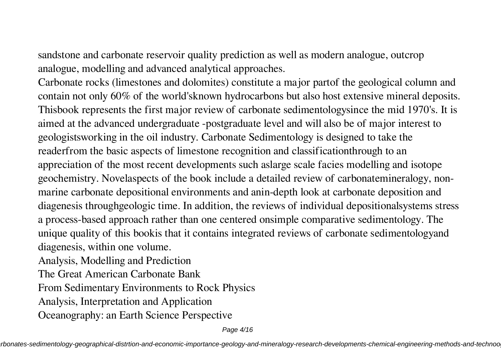sandstone and carbonate reservoir quality prediction as well as modern analogue, outcrop analogue, modelling and advanced analytical approaches.

Carbonate rocks (limestones and dolomites) constitute a major partof the geological column and contain not only 60% of the world'sknown hydrocarbons but also host extensive mineral deposits. Thisbook represents the first major review of carbonate sedimentologysince the mid 1970's. It is aimed at the advanced undergraduate -postgraduate level and will also be of major interest to geologistsworking in the oil industry. Carbonate Sedimentology is designed to take the readerfrom the basic aspects of limestone recognition and classificationthrough to an appreciation of the most recent developments such aslarge scale facies modelling and isotope geochemistry. Novelaspects of the book include a detailed review of carbonatemineralogy, nonmarine carbonate depositional environments and anin-depth look at carbonate deposition and diagenesis throughgeologic time. In addition, the reviews of individual depositionalsystems stress a process-based approach rather than one centered onsimple comparative sedimentology. The unique quality of this bookis that it contains integrated reviews of carbonate sedimentologyand diagenesis, within one volume.

Analysis, Modelling and Prediction

The Great American Carbonate Bank

From Sedimentary Environments to Rock Physics

Analysis, Interpretation and Application

Oceanography: an Earth Science Perspective

Page 4/16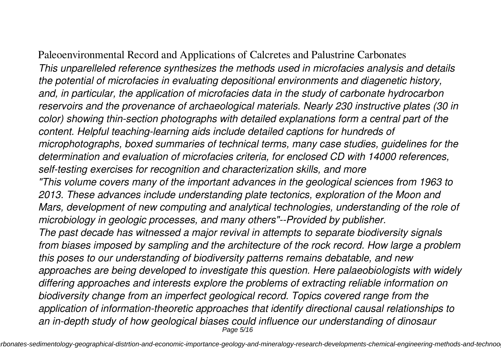Paleoenvironmental Record and Applications of Calcretes and Palustrine Carbonates *This unparelleled reference synthesizes the methods used in microfacies analysis and details the potential of microfacies in evaluating depositional environments and diagenetic history, and, in particular, the application of microfacies data in the study of carbonate hydrocarbon reservoirs and the provenance of archaeological materials. Nearly 230 instructive plates (30 in color) showing thin-section photographs with detailed explanations form a central part of the content. Helpful teaching-learning aids include detailed captions for hundreds of microphotographs, boxed summaries of technical terms, many case studies, guidelines for the determination and evaluation of microfacies criteria, for enclosed CD with 14000 references, self-testing exercises for recognition and characterization skills, and more "This volume covers many of the important advances in the geological sciences from 1963 to 2013. These advances include understanding plate tectonics, exploration of the Moon and Mars, development of new computing and analytical technologies, understanding of the role of microbiology in geologic processes, and many others"--Provided by publisher. The past decade has witnessed a major revival in attempts to separate biodiversity signals from biases imposed by sampling and the architecture of the rock record. How large a problem this poses to our understanding of biodiversity patterns remains debatable, and new approaches are being developed to investigate this question. Here palaeobiologists with widely differing approaches and interests explore the problems of extracting reliable information on biodiversity change from an imperfect geological record. Topics covered range from the application of information-theoretic approaches that identify directional causal relationships to an in-depth study of how geological biases could influence our understanding of dinosaur* Page 5/16

rbonates-sedimentology-geographical-distrtion-and-economic-importance-geology-and-mineralogy-research-developments-chemical-engineering-methods-and-technoo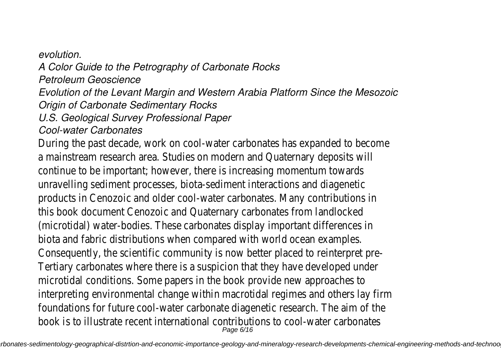*evolution. A Color Guide to the Petrography of Carbonate Rocks Petroleum Geoscience Evolution of the Levant Margin and Western Arabia Platform Since the Mesozoic Origin of Carbonate Sedimentary Rocks U.S. Geological Survey Professional Paper Cool-water Carbonates* During the past decade, work on cool-water carbonates has a mainstream research area. Studies on modern and Quatern continue to be important; however, there is increasing momentum unravelling sediment processes, biota-sediment interactions products in Cenozoic and older cool-water carbonates. Many this book document Cenozoic and Quaternary carbonates from (microtidal) water-bodies. These carbonates display important biota and fabric distributions when compared with world oc Consequently, the scientific community is now better placed Tertiary carbonates where there is a suspicion that they have microtidal conditions. Some papers in the book provide new interpreting environmental change within macrotidal regimes foundations for future cool-water carbonate diagenetic rese book is to illustrate recent international contributions to co Page 6/16

rbonates-sedimentology-geographical-distrtion-and-economic-importance-geology-and-mineralogy-research-developments-chemical-engineering-methods-and-technoo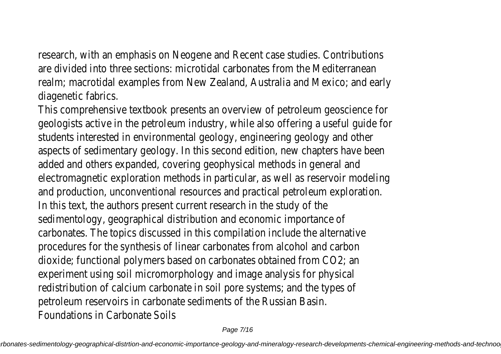research, with an emphasis on Neogene and Recent case studies. are divided into three sections: microtidal carbonates from the Meditierranean realm; macrotidal examples from New Zealand, Australia and diagenetic fabrics.

This comprehensive textbook presents an overview of petrol geologists active in the petroleum industry, while also offeri students interested in environmental geology, engineering geology aspects of sedimentary geology. In this second edition, new added and others expanded, covering geophysical methods in electromagnetic exploration methods in particular, as well as and production, unconventional resources and practical petrol In this text, the authors present current research in the study sedimentology, geographical distribution and economic import carbonates. The topics discussed in this compilation include procedures for the synthesis of linear carbonates from alcohol dioxide; functional polymers based on carbonates obtained fr experiment using soil micromorphology and image analysis for redistribution of calcium carbonate in soil pore systems; and petroleum reservoirs in carbonate sediments of the Russian. Foundations in Carbonate Soils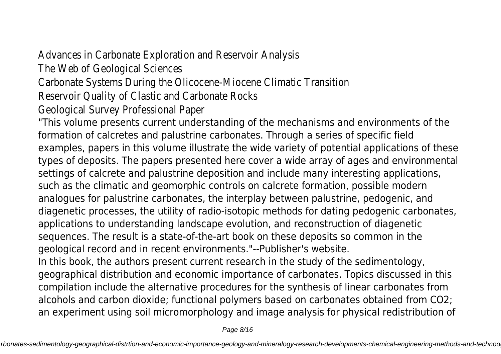Advances in Carbonate Exploration and Reservoir Analysis The Web of Geological Sciences

Carbonate Systems During the Olicocene-Miocene Climatic T Reservoir Quality of Clastic and Carbonate Rocks Geological Survey Professional Paper

"This volume presents current understanding of the mechanisms and environments of the formation of calcretes and palustrine carbonates. Through a series of specific field examples, papers in this volume illustrate the wide variety of potential applications of these types of deposits. The papers presented here cover a wide array of ages and environmental settings of calcrete and palustrine deposition and include many interesting applications, such as the climatic and geomorphic controls on calcrete formation, possible modern analogues for palustrine carbonates, the interplay between palustrine, pedogenic, and diagenetic processes, the utility of radio-isotopic methods for dating pedogenic carbonates, applications to understanding landscape evolution, and reconstruction of diagenetic sequences. The result is a state-of-the-art book on these deposits so common in the geological record and in recent environments."--Publisher's website. In this book, the authors present current research in the study of the sedimentology, geographical distribution and economic importance of carbonates. Topics discussed in this compilation include the alternative procedures for the synthesis of linear carbonates from

alcohols and carbon dioxide; functional polymers based on carbonates obtained from CO2; an experiment using soil micromorphology and image analysis for physical redistribution of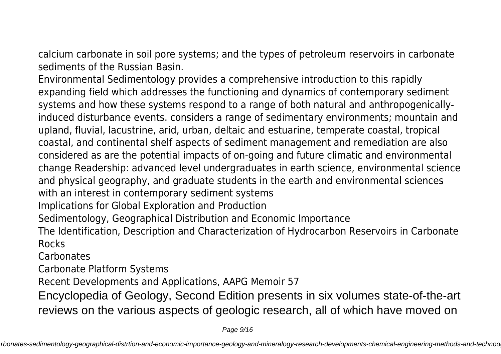calcium carbonate in soil pore systems; and the types of petroleum reservoirs in carbonate sediments of the Russian Basin.

Environmental Sedimentology provides a comprehensive introduction to this rapidly expanding field which addresses the functioning and dynamics of contemporary sediment systems and how these systems respond to a range of both natural and anthropogenicallyinduced disturbance events. considers a range of sedimentary environments; mountain and upland, fluvial, lacustrine, arid, urban, deltaic and estuarine, temperate coastal, tropical coastal, and continental shelf aspects of sediment management and remediation are also considered as are the potential impacts of on-going and future climatic and environmental change Readership: advanced level undergraduates in earth science, environmental science and physical geography, and graduate students in the earth and environmental sciences with an interest in contemporary sediment systems Implications for Global Exploration and Production

Sedimentology, Geographical Distribution and Economic Importance

The Identification, Description and Characterization of Hydrocarbon Reservoirs in Carbonate Rocks

Carbonates

Carbonate Platform Systems

Recent Developments and Applications, AAPG Memoir 57

Encyclopedia of Geology, Second Edition presents in six volumes state-of-the-art reviews on the various aspects of geologic research, all of which have moved on

Page 9/16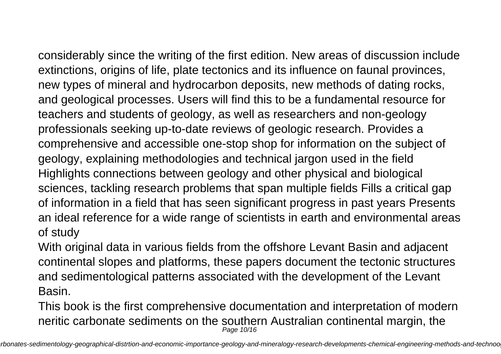considerably since the writing of the first edition. New areas of discussion include extinctions, origins of life, plate tectonics and its influence on faunal provinces, new types of mineral and hydrocarbon deposits, new methods of dating rocks, and geological processes. Users will find this to be a fundamental resource for teachers and students of geology, as well as researchers and non-geology professionals seeking up-to-date reviews of geologic research. Provides a comprehensive and accessible one-stop shop for information on the subject of geology, explaining methodologies and technical jargon used in the field Highlights connections between geology and other physical and biological sciences, tackling research problems that span multiple fields Fills a critical gap of information in a field that has seen significant progress in past years Presents an ideal reference for a wide range of scientists in earth and environmental areas

## of study

With original data in various fields from the offshore Levant Basin and adjacent continental slopes and platforms, these papers document the tectonic structures and sedimentological patterns associated with the development of the Levant Basin.

This book is the first comprehensive documentation and interpretation of modern neritic carbonate sediments on the southern Australian continental margin, the Page 10/16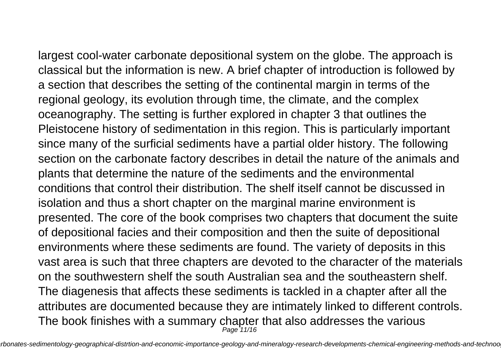largest cool-water carbonate depositional system on the globe. The approach is classical but the information is new. A brief chapter of introduction is followed by a section that describes the setting of the continental margin in terms of the regional geology, its evolution through time, the climate, and the complex oceanography. The setting is further explored in chapter 3 that outlines the Pleistocene history of sedimentation in this region. This is particularly important since many of the surficial sediments have a partial older history. The following section on the carbonate factory describes in detail the nature of the animals and plants that determine the nature of the sediments and the environmental conditions that control their distribution. The shelf itself cannot be discussed in isolation and thus a short chapter on the marginal marine environment is presented. The core of the book comprises two chapters that document the suite of depositional facies and their composition and then the suite of depositional environments where these sediments are found. The variety of deposits in this vast area is such that three chapters are devoted to the character of the materials on the southwestern shelf the south Australian sea and the southeastern shelf. The diagenesis that affects these sediments is tackled in a chapter after all the attributes are documented because they are intimately linked to different controls. The book finishes with a summary chapter that also addresses the various

Page 11/16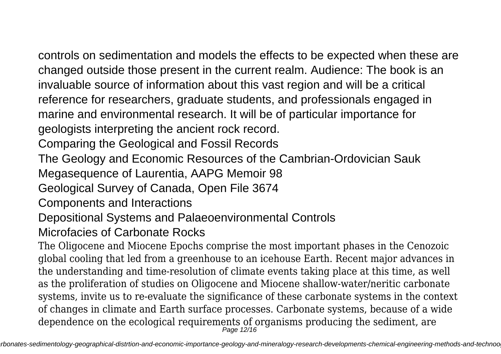controls on sedimentation and models the effects to be expected when these are changed outside those present in the current realm. Audience: The book is an invaluable source of information about this vast region and will be a critical reference for researchers, graduate students, and professionals engaged in marine and environmental research. It will be of particular importance for geologists interpreting the ancient rock record.

Comparing the Geological and Fossil Records

The Geology and Economic Resources of the Cambrian-Ordovician Sauk

Megasequence of Laurentia, AAPG Memoir 98

Geological Survey of Canada, Open File 3674

Components and Interactions

Depositional Systems and Palaeoenvironmental Controls

Microfacies of Carbonate Rocks

The Oligocene and Miocene Epochs comprise the most important phases in the Cenozoic global cooling that led from a greenhouse to an icehouse Earth. Recent major advances in the understanding and time-resolution of climate events taking place at this time, as well as the proliferation of studies on Oligocene and Miocene shallow-water/neritic carbonate systems, invite us to re-evaluate the significance of these carbonate systems in the context of changes in climate and Earth surface processes. Carbonate systems, because of a wide dependence on the ecological requirements of organisms producing the sediment, are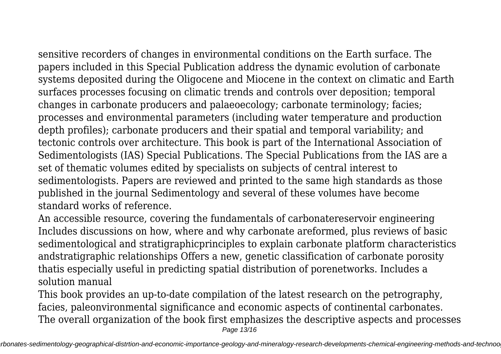sensitive recorders of changes in environmental conditions on the Earth surface. The papers included in this Special Publication address the dynamic evolution of carbonate systems deposited during the Oligocene and Miocene in the context on climatic and Earth surfaces processes focusing on climatic trends and controls over deposition; temporal changes in carbonate producers and palaeoecology; carbonate terminology; facies; processes and environmental parameters (including water temperature and production depth profiles); carbonate producers and their spatial and temporal variability; and tectonic controls over architecture. This book is part of the International Association of Sedimentologists (IAS) Special Publications. The Special Publications from the IAS are a set of thematic volumes edited by specialists on subjects of central interest to sedimentologists. Papers are reviewed and printed to the same high standards as those published in the journal Sedimentology and several of these volumes have become standard works of reference.

An accessible resource, covering the fundamentals of carbonatereservoir engineering Includes discussions on how, where and why carbonate areformed, plus reviews of basic sedimentological and stratigraphicprinciples to explain carbonate platform characteristics andstratigraphic relationships Offers a new, genetic classification of carbonate porosity thatis especially useful in predicting spatial distribution of porenetworks. Includes a solution manual

This book provides an up-to-date compilation of the latest research on the petrography, facies, paleonvironmental significance and economic aspects of continental carbonates. The overall organization of the book first emphasizes the descriptive aspects and processes Page 13/16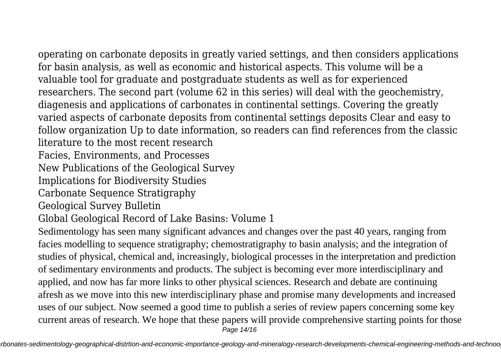operating on carbonate deposits in greatly varied settings, and then considers applications for basin analysis, as well as economic and historical aspects. This volume will be a valuable tool for graduate and postgraduate students as well as for experienced researchers. The second part (volume 62 in this series) will deal with the geochemistry, diagenesis and applications of carbonates in continental settings. Covering the greatly varied aspects of carbonate deposits from continental settings deposits Clear and easy to follow organization Up to date information, so readers can find references from the classic literature to the most recent research Facies, Environments, and Processes New Publications of the Geological Survey Implications for Biodiversity Studies Carbonate Sequence Stratigraphy Geological Survey Bulletin Global Geological Record of Lake Basins: Volume 1 Sedimentology has seen many significant advances and changes over the past 40 years, ranging from facies modelling to sequence stratigraphy; chemostratigraphy to basin analysis; and the integration of studies of physical, chemical and, increasingly, biological processes in the interpretation and prediction of sedimentary environments and products. The subject is becoming ever more interdisciplinary and applied, and now has far more links to other physical sciences. Research and debate are continuing afresh as we move into this new interdisciplinary phase and promise many developments and increased uses of our subject. Now seemed a good time to publish a series of review papers concerning some key current areas of research. We hope that these papers will provide comprehensive starting points for those Page 14/16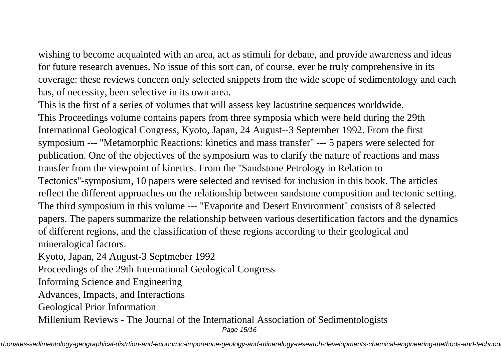wishing to become acquainted with an area, act as stimuli for debate, and provide awareness and ideas for future research avenues. No issue of this sort can, of course, ever be truly comprehensive in its coverage: these reviews concern only selected snippets from the wide scope of sedimentology and each has, of necessity, been selective in its own area.

This is the first of a series of volumes that will assess key lacustrine sequences worldwide. This Proceedings volume contains papers from three symposia which were held during the 29th International Geological Congress, Kyoto, Japan, 24 August--3 September 1992. From the first symposium --- ''Metamorphic Reactions: kinetics and mass transfer'' --- 5 papers were selected for publication. One of the objectives of the symposium was to clarify the nature of reactions and mass transfer from the viewpoint of kinetics. From the ''Sandstone Petrology in Relation to Tectonics''-symposium, 10 papers were selected and revised for inclusion in this book. The articles reflect the different approaches on the relationship between sandstone composition and tectonic setting. The third symposium in this volume --- ''Evaporite and Desert Environment'' consists of 8 selected papers. The papers summarize the relationship between various desertification factors and the dynamics of different regions, and the classification of these regions according to their geological and mineralogical factors.

Kyoto, Japan, 24 August-3 Septmeber 1992

Proceedings of the 29th International Geological Congress

Informing Science and Engineering

Advances, Impacts, and Interactions

Geological Prior Information

Millenium Reviews - The Journal of the International Association of Sedimentologists

Page 15/16

rbonates-sedimentology-geographical-distrtion-and-economic-importance-geology-and-mineralogy-research-developments-chemical-engineering-methods-and-technoo